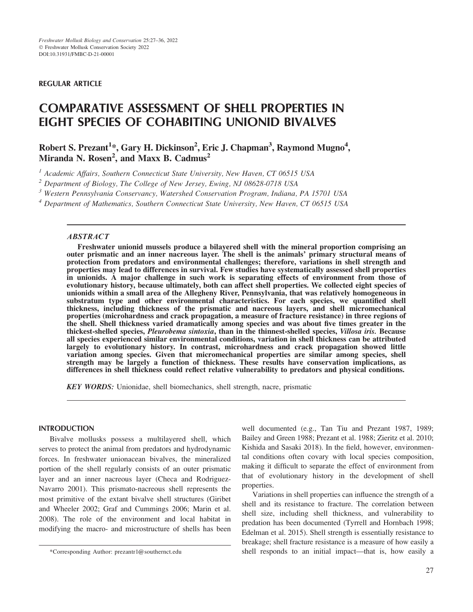## REGULAR ARTICLE

# COMPARATIVE ASSESSMENT OF SHELL PROPERTIES IN EIGHT SPECIES OF COHABITING UNIONID BIVALVES

Robert S. Prezant<sup>1</sup>\*, Gary H. Dickinson<sup>2</sup>, Eric J. Chapman<sup>3</sup>, Raymond Mugno<sup>4</sup>, Miranda N. Rosen<sup>2</sup>, and Maxx B. Cadmus<sup>2</sup>

 $<sup>1</sup>$  Academic Affairs, Southern Connecticut State University, New Haven, CT 06515 USA</sup>

<sup>2</sup> Department of Biology, The College of New Jersey, Ewing, NJ 08628-0718 USA

<sup>3</sup> Western Pennsylvania Conservancy, Watershed Conservation Program, Indiana, PA 15701 USA

<sup>4</sup> Department of Mathematics, Southern Connecticut State University, New Haven, CT 06515 USA

## ABSTRACT

Freshwater unionid mussels produce a bilayered shell with the mineral proportion comprising an outer prismatic and an inner nacreous layer. The shell is the animals' primary structural means of protection from predators and environmental challenges; therefore, variations in shell strength and properties may lead to differences in survival. Few studies have systematically assessed shell properties in unionids. A major challenge in such work is separating effects of environment from those of evolutionary history, because ultimately, both can affect shell properties. We collected eight species of unionids within a small area of the Allegheny River, Pennsylvania, that was relatively homogeneous in substratum type and other environmental characteristics. For each species, we quantified shell thickness, including thickness of the prismatic and nacreous layers, and shell micromechanical properties (microhardness and crack propagation, a measure of fracture resistance) in three regions of the shell. Shell thickness varied dramatically among species and was about five times greater in the thickest-shelled species, Pleurobema sintoxia, than in the thinnest-shelled species, Villosa iris. Because all species experienced similar environmental conditions, variation in shell thickness can be attributed largely to evolutionary history. In contrast, microhardness and crack propagation showed little variation among species. Given that micromechanical properties are similar among species, shell strength may be largely a function of thickness. These results have conservation implications, as differences in shell thickness could reflect relative vulnerability to predators and physical conditions.

KEY WORDS: Unionidae, shell biomechanics, shell strength, nacre, prismatic

## INTRODUCTION

Bivalve mollusks possess a multilayered shell, which serves to protect the animal from predators and hydrodynamic forces. In freshwater unionacean bivalves, the mineralized portion of the shell regularly consists of an outer prismatic layer and an inner nacreous layer (Checa and Rodriguez-Navarro 2001). This prismato-nacreous shell represents the most primitive of the extant bivalve shell structures (Giribet and Wheeler 2002; Graf and Cummings 2006; Marin et al. 2008). The role of the environment and local habitat in modifying the macro- and microstructure of shells has been well documented (e.g., Tan Tiu and Prezant 1987, 1989; Bailey and Green 1988; Prezant et al. 1988; Zieritz et al. 2010; Kishida and Sasaki 2018). In the field, however, environmental conditions often covary with local species composition, making it difficult to separate the effect of environment from that of evolutionary history in the development of shell properties.

Variations in shell properties can influence the strength of a shell and its resistance to fracture. The correlation between shell size, including shell thickness, and vulnerability to predation has been documented (Tyrrell and Hornbach 1998; Edelman et al. 2015). Shell strength is essentially resistance to breakage; shell fracture resistance is a measure of how easily a \*Corresponding Author: prezantr1@southernct.edu shell responds to an initial impact—that is, how easily a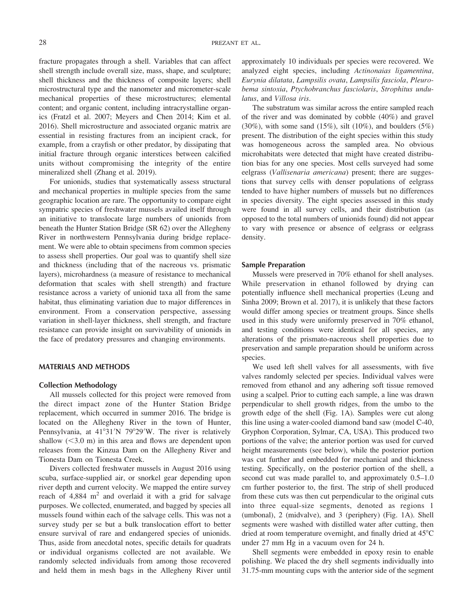fracture propagates through a shell. Variables that can affect shell strength include overall size, mass, shape, and sculpture; shell thickness and the thickness of composite layers; shell microstructural type and the nanometer and micrometer-scale mechanical properties of these microstructures; elemental content; and organic content, including intracrystalline organics (Fratzl et al. 2007; Meyers and Chen 2014; Kim et al. 2016). Shell microstructure and associated organic matrix are essential in resisting fractures from an incipient crack, for example, from a crayfish or other predator, by dissipating that initial fracture through organic interstices between calcified units without compromising the integrity of the entire mineralized shell (Zhang et al. 2019).

For unionids, studies that systematically assess structural and mechanical properties in multiple species from the same geographic location are rare. The opportunity to compare eight sympatric species of freshwater mussels availed itself through an initiative to translocate large numbers of unionids from beneath the Hunter Station Bridge (SR 62) over the Allegheny River in northwestern Pennsylvania during bridge replacement. We were able to obtain specimens from common species to assess shell properties. Our goal was to quantify shell size and thickness (including that of the nacreous vs. prismatic layers), microhardness (a measure of resistance to mechanical deformation that scales with shell strength) and fracture resistance across a variety of unionid taxa all from the same habitat, thus eliminating variation due to major differences in environment. From a conservation perspective, assessing variation in shell-layer thickness, shell strength, and fracture resistance can provide insight on survivability of unionids in the face of predatory pressures and changing environments.

### MATERIALS AND METHODS

#### Collection Methodology

All mussels collected for this project were removed from the direct impact zone of the Hunter Station Bridge replacement, which occurred in summer 2016. The bridge is located on the Allegheny River in the town of Hunter, Pennsylvania, at 41°31′N 79°29′W. The river is relatively shallow  $(< 3.0$  m) in this area and flows are dependent upon releases from the Kinzua Dam on the Allegheny River and Tionesta Dam on Tionesta Creek.

Divers collected freshwater mussels in August 2016 using scuba, surface-supplied air, or snorkel gear depending upon river depth and current velocity. We mapped the entire survey reach of 4,884  $m<sup>2</sup>$  and overlaid it with a grid for salvage purposes. We collected, enumerated, and bagged by species all mussels found within each of the salvage cells. This was not a survey study per se but a bulk translocation effort to better ensure survival of rare and endangered species of unionids. Thus, aside from anecdotal notes, specific details for quadrats or individual organisms collected are not available. We randomly selected individuals from among those recovered and held them in mesh bags in the Allegheny River until

approximately 10 individuals per species were recovered. We analyzed eight species, including Actinonaias ligamentina, Eurynia dilatata, Lampsilis ovata, Lampsilis fasciola, Pleurobema sintoxia, Ptychobranchus fasciolaris, Strophitus undulatus, and Villosa iris.

The substratum was similar across the entire sampled reach of the river and was dominated by cobble (40%) and gravel  $(30\%)$ , with some sand  $(15\%)$ , silt  $(10\%)$ , and boulders  $(5\%)$ present. The distribution of the eight species within this study was homogeneous across the sampled area. No obvious microhabitats were detected that might have created distribution bias for any one species. Most cells surveyed had some eelgrass (Vallisenaria americana) present; there are suggestions that survey cells with denser populations of eelgrass tended to have higher numbers of mussels but no differences in species diversity. The eight species assessed in this study were found in all survey cells, and their distribution (as opposed to the total numbers of unionids found) did not appear to vary with presence or absence of eelgrass or eelgrass density.

#### Sample Preparation

Mussels were preserved in 70% ethanol for shell analyses. While preservation in ethanol followed by drying can potentially influence shell mechanical properties (Leung and Sinha 2009; Brown et al. 2017), it is unlikely that these factors would differ among species or treatment groups. Since shells used in this study were uniformly preserved in 70% ethanol, and testing conditions were identical for all species, any alterations of the prismato-nacreous shell properties due to preservation and sample preparation should be uniform across species.

We used left shell valves for all assessments, with five valves randomly selected per species. Individual valves were removed from ethanol and any adhering soft tissue removed using a scalpel. Prior to cutting each sample, a line was drawn perpendicular to shell growth ridges, from the umbo to the growth edge of the shell (Fig. 1A). Samples were cut along this line using a water-cooled diamond band saw (model C-40, Gryphon Corporation, Sylmar, CA, USA). This produced two portions of the valve; the anterior portion was used for curved height measurements (see below), while the posterior portion was cut further and embedded for mechanical and thickness testing. Specifically, on the posterior portion of the shell, a second cut was made parallel to, and approximately 0.5–1.0 cm further posterior to, the first. The strip of shell produced from these cuts was then cut perpendicular to the original cuts into three equal-size segments, denoted as regions 1 (umbonal), 2 (midvalve), and 3 (periphery) (Fig. 1A). Shell segments were washed with distilled water after cutting, then dried at room temperature overnight, and finally dried at  $45^{\circ}$ C under 27 mm Hg in a vacuum oven for 24 h.

Shell segments were embedded in epoxy resin to enable polishing. We placed the dry shell segments individually into 31.75-mm mounting cups with the anterior side of the segment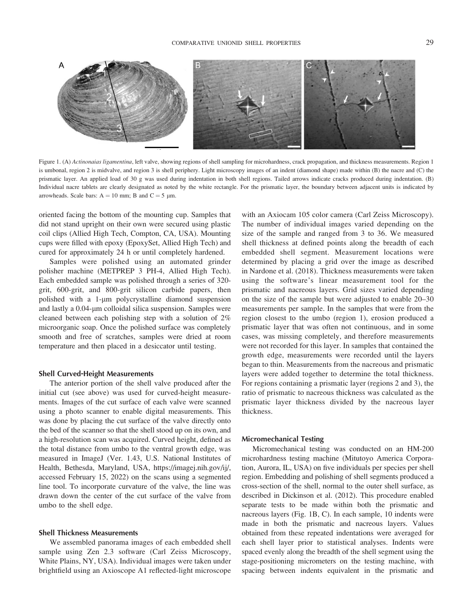

Figure 1. (A) Actinonaias ligamentina, left valve, showing regions of shell sampling for microhardness, crack propagation, and thickness measurements. Region 1 is umbonal, region 2 is midvalve, and region 3 is shell periphery. Light microscopy images of an indent (diamond shape) made within (B) the nacre and (C) the prismatic layer. An applied load of 30 g was used during indentation in both shell regions. Tailed arrows indicate cracks produced during indentation. (B) Individual nacre tablets are clearly designated as noted by the white rectangle. For the prismatic layer, the boundary between adjacent units is indicated by arrowheads. Scale bars:  $A = 10$  mm; B and  $C = 5$  µm.

oriented facing the bottom of the mounting cup. Samples that did not stand upright on their own were secured using plastic coil clips (Allied High Tech, Compton, CA, USA). Mounting cups were filled with epoxy (EpoxySet, Allied High Tech) and cured for approximately 24 h or until completely hardened.

Samples were polished using an automated grinder polisher machine (METPREP 3 PH-4, Allied High Tech). Each embedded sample was polished through a series of 320 grit, 600-grit, and 800-grit silicon carbide papers, then polished with a 1-um polycrystalline diamond suspension and lastly a  $0.04$ - $\mu$ m colloidal silica suspension. Samples were cleaned between each polishing step with a solution of 2% microorganic soap. Once the polished surface was completely smooth and free of scratches, samples were dried at room temperature and then placed in a desiccator until testing.

#### Shell Curved-Height Measurements

The anterior portion of the shell valve produced after the initial cut (see above) was used for curved-height measurements. Images of the cut surface of each valve were scanned using a photo scanner to enable digital measurements. This was done by placing the cut surface of the valve directly onto the bed of the scanner so that the shell stood up on its own, and a high-resolution scan was acquired. Curved height, defined as the total distance from umbo to the ventral growth edge, was measured in ImageJ (Ver. 1.43, U.S. National Institutes of Health, Bethesda, Maryland, USA, https://imagej.nih.gov/ij/, accessed February 15, 2022) on the scans using a segmented line tool. To incorporate curvature of the valve, the line was drawn down the center of the cut surface of the valve from umbo to the shell edge.

#### Shell Thickness Measurements

We assembled panorama images of each embedded shell sample using Zen 2.3 software (Carl Zeiss Microscopy, White Plains, NY, USA). Individual images were taken under brightfield using an Axioscope A1 reflected-light microscope

with an Axiocam 105 color camera (Carl Zeiss Microscopy). The number of individual images varied depending on the size of the sample and ranged from 3 to 36. We measured shell thickness at defined points along the breadth of each embedded shell segment. Measurement locations were determined by placing a grid over the image as described in Nardone et al. (2018). Thickness measurements were taken using the software's linear measurement tool for the prismatic and nacreous layers. Grid sizes varied depending on the size of the sample but were adjusted to enable 20–30 measurements per sample. In the samples that were from the region closest to the umbo (region 1), erosion produced a prismatic layer that was often not continuous, and in some cases, was missing completely, and therefore measurements were not recorded for this layer. In samples that contained the growth edge, measurements were recorded until the layers began to thin. Measurements from the nacreous and prismatic layers were added together to determine the total thickness. For regions containing a prismatic layer (regions 2 and 3), the ratio of prismatic to nacreous thickness was calculated as the prismatic layer thickness divided by the nacreous layer thickness.

#### Micromechanical Testing

Micromechanical testing was conducted on an HM-200 microhardness testing machine (Mitutoyo America Corporation, Aurora, IL, USA) on five individuals per species per shell region. Embedding and polishing of shell segments produced a cross-section of the shell, normal to the outer shell surface, as described in Dickinson et al. (2012). This procedure enabled separate tests to be made within both the prismatic and nacreous layers (Fig. 1B, C). In each sample, 10 indents were made in both the prismatic and nacreous layers. Values obtained from these repeated indentations were averaged for each shell layer prior to statistical analyses. Indents were spaced evenly along the breadth of the shell segment using the stage-positioning micrometers on the testing machine, with spacing between indents equivalent in the prismatic and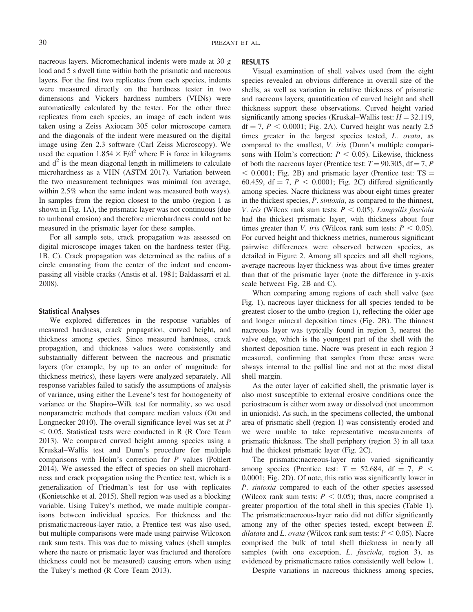nacreous layers. Micromechanical indents were made at 30 g load and 5 s dwell time within both the prismatic and nacreous layers. For the first two replicates from each species, indents were measured directly on the hardness tester in two dimensions and Vickers hardness numbers (VHNs) were automatically calculated by the tester. For the other three replicates from each species, an image of each indent was taken using a Zeiss Axiocam 305 color microscope camera and the diagonals of the indent were measured on the digital image using Zen 2.3 software (Carl Zeiss Microscopy). We used the equation  $1.854 \times F/d^2$  where F is force in kilograms and  $d^2$  is the mean diagonal length in millimeters to calculate microhardness as a VHN (ASTM 2017). Variation between the two measurement techniques was minimal (on average, within 2.5% when the same indent was measured both ways). In samples from the region closest to the umbo (region 1 as shown in Fig. 1A), the prismatic layer was not continuous (due to umbonal erosion) and therefore microhardness could not be measured in the prismatic layer for these samples.

For all sample sets, crack propagation was assessed on digital microscope images taken on the hardness tester (Fig. 1B, C). Crack propagation was determined as the radius of a circle emanating from the center of the indent and encompassing all visible cracks (Anstis et al. 1981; Baldassarri et al. 2008).

### Statistical Analyses

We explored differences in the response variables of measured hardness, crack propagation, curved height, and thickness among species. Since measured hardness, crack propagation, and thickness values were consistently and substantially different between the nacreous and prismatic layers (for example, by up to an order of magnitude for thickness metrics), these layers were analyzed separately. All response variables failed to satisfy the assumptions of analysis of variance, using either the Levene's test for homogeneity of variance or the Shapiro–Wilk test for normality, so we used nonparametric methods that compare median values (Ott and Longnecker 2010). The overall significance level was set at  $P$  $<$  0.05. Statistical tests were conducted in R (R Core Team 2013). We compared curved height among species using a Kruskal–Wallis test and Dunn's procedure for multiple comparisons with Holm's correction for P values (Pohlert 2014). We assessed the effect of species on shell microhardness and crack propagation using the Prentice test, which is a generalization of Friedman's test for use with replicates (Konietschke et al. 2015). Shell region was used as a blocking variable. Using Tukey's method, we made multiple comparisons between individual species. For thickness and the prismatic:nacreous-layer ratio, a Prentice test was also used, but multiple comparisons were made using pairwise Wilcoxon rank sum tests. This was due to missing values (shell samples where the nacre or prismatic layer was fractured and therefore thickness could not be measured) causing errors when using the Tukey's method (R Core Team 2013).

#### RESULTS

Visual examination of shell valves used from the eight species revealed an obvious difference in overall size of the shells, as well as variation in relative thickness of prismatic and nacreous layers; quantification of curved height and shell thickness support these observations. Curved height varied significantly among species (Kruskal–Wallis test:  $H = 32.119$ ,  $df = 7$ ,  $P < 0.0001$ ; Fig. 2A). Curved height was nearly 2.5 times greater in the largest species tested, L. ovata, as compared to the smallest, V. iris (Dunn's multiple comparisons with Holm's correction:  $P < 0.05$ ). Likewise, thickness of both the nacreous layer (Prentice test:  $T = 90.305$ , df = 7, P  $<$  0.0001; Fig. 2B) and prismatic layer (Prentice test: TS = 60.459, df = 7,  $P < 0.0001$ ; Fig. 2C) differed significantly among species. Nacre thickness was about eight times greater in the thickest species, P. sintoxia, as compared to the thinnest, V. iris (Wilcox rank sum tests:  $P \leq 0.05$ ). Lampsilis fasciola had the thickest prismatic layer, with thickness about four times greater than *V. iris* (Wilcox rank sum tests:  $P < 0.05$ ). For curved height and thickness metrics, numerous significant pairwise differences were observed between species, as detailed in Figure 2. Among all species and all shell regions, average nacreous layer thickness was about five times greater than that of the prismatic layer (note the difference in y-axis scale between Fig. 2B and C).

When comparing among regions of each shell valve (see Fig. 1), nacreous layer thickness for all species tended to be greatest closer to the umbo (region 1), reflecting the older age and longer mineral deposition times (Fig. 2B). The thinnest nacreous layer was typically found in region 3, nearest the valve edge, which is the youngest part of the shell with the shortest deposition time. Nacre was present in each region 3 measured, confirming that samples from these areas were always internal to the pallial line and not at the most distal shell margin.

As the outer layer of calcified shell, the prismatic layer is also most susceptible to external erosive conditions once the periostracum is either worn away or dissolved (not uncommon in unionids). As such, in the specimens collected, the umbonal area of prismatic shell (region 1) was consistently eroded and we were unable to take representative measurements of prismatic thickness. The shell periphery (region 3) in all taxa had the thickest prismatic layer (Fig. 2C).

The prismatic:nacreous-layer ratio varied significantly among species (Prentice test:  $T = 52.684$ , df = 7, P < 0.0001; Fig. 2D). Of note, this ratio was significantly lower in P. sintoxia compared to each of the other species assessed (Wilcox rank sum tests:  $P < 0.05$ ); thus, nacre comprised a greater proportion of the total shell in this species (Table 1). The prismatic:nacreous-layer ratio did not differ significantly among any of the other species tested, except between E. dilatata and L. ovata (Wilcox rank sum tests:  $P < 0.05$ ). Nacre comprised the bulk of total shell thickness in nearly all samples (with one exception, *L. fasciola*, region 3), as evidenced by prismatic:nacre ratios consistently well below 1.

Despite variations in nacreous thickness among species,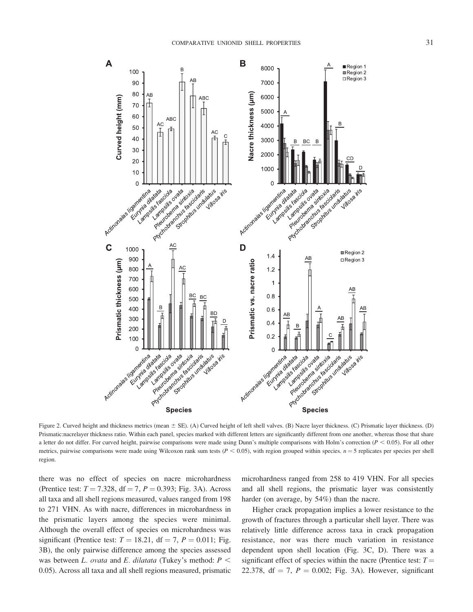

Figure 2. Curved height and thickness metrics (mean  $\pm$  SE). (A) Curved height of left shell valves. (B) Nacre layer thickness. (C) Prismatic layer thickness. (D) Prismatic:nacrelayer thickness ratio. Within each panel, species marked with different letters are significantly different from one another, whereas those that share a letter do not differ. For curved height, pairwise comparisons were made using Dunn's multiple comparisons with Holm's correction ( $P < 0.05$ ). For all other metrics, pairwise comparisons were made using Wilcoxon rank sum tests ( $P < 0.05$ ), with region grouped within species.  $n = 5$  replicates per species per shell region.

there was no effect of species on nacre microhardness (Prentice test:  $T = 7.328$ , df = 7,  $P = 0.393$ ; Fig. 3A). Across all taxa and all shell regions measured, values ranged from 198 to 271 VHN. As with nacre, differences in microhardness in the prismatic layers among the species were minimal. Although the overall effect of species on microhardness was significant (Prentice test:  $T = 18.21$ , df = 7, P = 0.011; Fig. 3B), the only pairwise difference among the species assessed was between L. ovata and E. dilatata (Tukey's method:  $P \leq$ 0.05). Across all taxa and all shell regions measured, prismatic

microhardness ranged from 258 to 419 VHN. For all species and all shell regions, the prismatic layer was consistently harder (on average, by 54%) than the nacre.

Higher crack propagation implies a lower resistance to the growth of fractures through a particular shell layer. There was relatively little difference across taxa in crack propagation resistance, nor was there much variation in resistance dependent upon shell location (Fig. 3C, D). There was a significant effect of species within the nacre (Prentice test:  $T =$ 22.378, df = 7,  $P = 0.002$ ; Fig. 3A). However, significant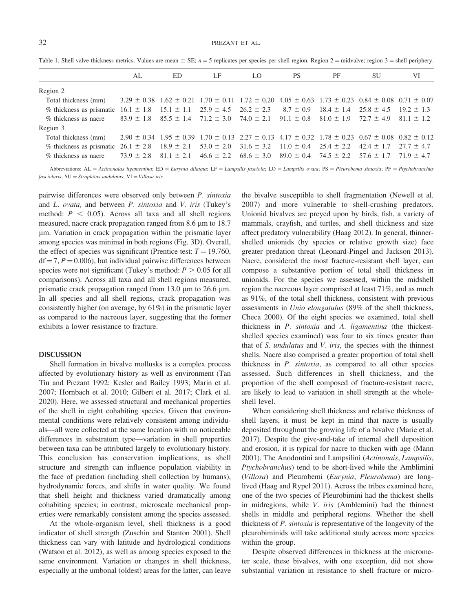Table 1. Shell valve thickness metrics. Values are mean  $\pm$  SE;  $n = 5$  replicates per species per shell region. Region 2 = midvalve; region 3 = shell periphery.

|                                                                                                                                                      | AL | ED. | LF | LO.                                                                                                                             | <b>PS</b> | PF | SU | VI |
|------------------------------------------------------------------------------------------------------------------------------------------------------|----|-----|----|---------------------------------------------------------------------------------------------------------------------------------|-----------|----|----|----|
| Region 2                                                                                                                                             |    |     |    |                                                                                                                                 |           |    |    |    |
| Total thickness (mm)                                                                                                                                 |    |     |    | $3.29 \pm 0.38$ 1.62 $\pm$ 0.21 1.70 $\pm$ 0.11 1.72 $\pm$ 0.20 4.05 $\pm$ 0.63 1.73 $\pm$ 0.23 0.84 $\pm$ 0.08 0.71 $\pm$ 0.07 |           |    |    |    |
| % thickness as prismatic $16.1 \pm 1.8$ $15.1 \pm 1.1$ $25.9 \pm 4.5$ $26.2 \pm 2.3$ $8.7 \pm 0.9$ $18.4 \pm 1.4$ $25.8 \pm 4.5$ $19.2 \pm 1.3$      |    |     |    |                                                                                                                                 |           |    |    |    |
| % thickness as nacre                                                                                                                                 |    |     |    | $83.9 \pm 1.8$ $85.5 \pm 1.4$ $71.2 \pm 3.0$ $74.0 \pm 2.1$ $91.1 \pm 0.8$ $81.0 \pm 1.9$ $72.7 \pm 4.9$ $81.1 \pm 1.2$         |           |    |    |    |
| Region 3                                                                                                                                             |    |     |    |                                                                                                                                 |           |    |    |    |
| Total thickness (mm) $2.90 \pm 0.34$ $1.95 \pm 0.39$ $1.70 \pm 0.13$ $2.27 \pm 0.13$ $4.17 \pm 0.32$ $1.78 \pm 0.23$ $0.67 \pm 0.08$ $0.82 \pm 0.12$ |    |     |    |                                                                                                                                 |           |    |    |    |
| % thickness as prismatic $26.1 \pm 2.8$ $18.9 \pm 2.1$ $53.0 \pm 2.0$ $31.6 \pm 3.2$ $11.0 \pm 0.4$ $25.4 \pm 2.2$ $42.4 \pm 1.7$ $27.7 \pm 4.7$     |    |     |    |                                                                                                                                 |           |    |    |    |
| % thickness as nacre                                                                                                                                 |    |     |    | $73.9 \pm 2.8$ 81.1 $\pm 2.1$ 46.6 $\pm 2.2$ 68.6 $\pm 3.0$ 89.0 $\pm 0.4$ 74.5 $\pm 2.2$ 57.6 $\pm 1.7$ 71.9 $\pm 4.7$         |           |    |    |    |

Abbreviations: AL = Actinonaias ligamentina; ED = Eurynia dilatata; LF = Lampsilis fasciola; LO = Lampsilis ovata; PS = Pleurobema sintoxia; PF = Ptychobranchus fasciolaris;  $SU = Strophitus$  undulatus;  $VI = Villosa$  iris.

pairwise differences were observed only between P. sintoxia and  $L$ . *ovata*, and between  $P$ . *sintoxia* and  $V$ . *iris* (Tukey's method:  $P < 0.05$ ). Across all taxa and all shell regions measured, nacre crack propagation ranged from  $8.6 \mu m$  to  $18.7 \mu m$ lm. Variation in crack propagation within the prismatic layer among species was minimal in both regions (Fig. 3D). Overall, the effect of species was significant (Prentice test:  $T = 19.760$ ,  $df = 7$ ,  $P = 0.006$ , but individual pairwise differences between species were not significant (Tukey's method:  $P > 0.05$  for all comparisons). Across all taxa and all shell regions measured, prismatic crack propagation ranged from 13.0  $\mu$ m to 26.6  $\mu$ m. In all species and all shell regions, crack propagation was consistently higher (on average, by 61%) in the prismatic layer as compared to the nacreous layer, suggesting that the former exhibits a lower resistance to fracture.

#### **DISCUSSION**

Shell formation in bivalve mollusks is a complex process affected by evolutionary history as well as environment (Tan Tiu and Prezant 1992; Kesler and Bailey 1993; Marin et al. 2007; Hornbach et al. 2010; Gilbert et al. 2017; Clark et al. 2020). Here, we assessed structural and mechanical properties of the shell in eight cohabiting species. Given that environmental conditions were relatively consistent among individuals—all were collected at the same location with no noticeable differences in substratum type—variation in shell properties between taxa can be attributed largely to evolutionary history. This conclusion has conservation implications, as shell structure and strength can influence population viability in the face of predation (including shell collection by humans), hydrodynamic forces, and shifts in water quality. We found that shell height and thickness varied dramatically among cohabiting species; in contrast, microscale mechanical properties were remarkably consistent among the species assessed.

At the whole-organism level, shell thickness is a good indicator of shell strength (Zuschin and Stanton 2001). Shell thickness can vary with latitude and hydrological conditions (Watson et al. 2012), as well as among species exposed to the same environment. Variation or changes in shell thickness, especially at the umbonal (oldest) areas for the latter, can leave the bivalve susceptible to shell fragmentation (Newell et al. 2007) and more vulnerable to shell-crushing predators. Unionid bivalves are preyed upon by birds, fish, a variety of mammals, crayfish, and turtles, and shell thickness and size affect predatory vulnerability (Haag 2012). In general, thinnershelled unionids (by species or relative growth size) face greater predation threat (Leonard-Pingel and Jackson 2013). Nacre, considered the most fracture-resistant shell layer, can compose a substantive portion of total shell thickness in unionids. For the species we assessed, within the midshell region the nacreous layer comprised at least 71%, and as much as 91%, of the total shell thickness, consistent with previous assessments in Unio elongatulus (89% of the shell thickness, Checa 2000). Of the eight species we examined, total shell thickness in P. sintoxia and A. ligamentina (the thickestshelled species examined) was four to six times greater than that of S. undulatus and V. iris, the species with the thinnest shells. Nacre also comprised a greater proportion of total shell thickness in  $P$ . sintoxia, as compared to all other species assessed. Such differences in shell thickness, and the proportion of the shell composed of fracture-resistant nacre, are likely to lead to variation in shell strength at the wholeshell level.

When considering shell thickness and relative thickness of shell layers, it must be kept in mind that nacre is usually deposited throughout the growing life of a bivalve (Marie et al. 2017). Despite the give-and-take of internal shell deposition and erosion, it is typical for nacre to thicken with age (Mann 2001). The Anodontini and Lampsilini (Actinonais, Lampsilis, Ptychobranchus) tend to be short-lived while the Amblimini (Villosa) and Pleurobemi (Eurynia, Pleurobema) are longlived (Haag and Rypel 2011). Across the tribes examined here, one of the two species of Pleurobimini had the thickest shells in midregions, while V. iris (Amblemini) had the thinnest shells in middle and peripheral regions. Whether the shell thickness of P. sintoxia is representative of the longevity of the pleurobiminids will take additional study across more species within the group.

Despite observed differences in thickness at the micrometer scale, these bivalves, with one exception, did not show substantial variation in resistance to shell fracture or micro-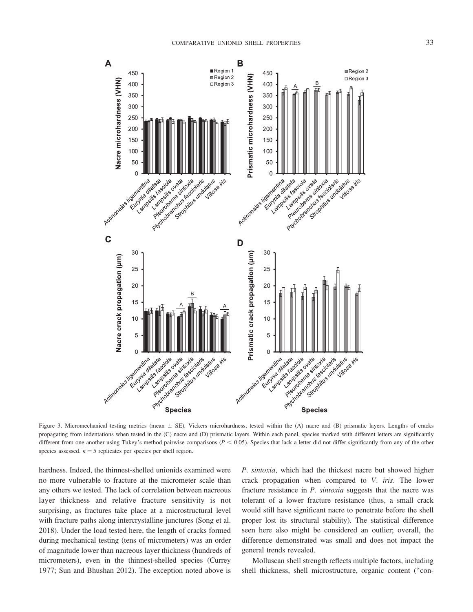

Figure 3. Micromechanical testing metrics (mean  $\pm$  SE). Vickers microhardness, tested within the (A) nacre and (B) prismatic layers. Lengths of cracks propagating from indentations when tested in the (C) nacre and (D) prismatic layers. Within each panel, species marked with different letters are significantly different from one another using Tukey's method pairwise comparisons  $(P < 0.05)$ . Species that lack a letter did not differ significantly from any of the other species assessed.  $n = 5$  replicates per species per shell region.

hardness. Indeed, the thinnest-shelled unionids examined were no more vulnerable to fracture at the micrometer scale than any others we tested. The lack of correlation between nacreous layer thickness and relative fracture sensitivity is not surprising, as fractures take place at a microstructural level with fracture paths along intercrystalline junctures (Song et al. 2018). Under the load tested here, the length of cracks formed during mechanical testing (tens of micrometers) was an order of magnitude lower than nacreous layer thickness (hundreds of micrometers), even in the thinnest-shelled species (Currey 1977; Sun and Bhushan 2012). The exception noted above is P. sintoxia, which had the thickest nacre but showed higher crack propagation when compared to V. iris. The lower fracture resistance in P. sintoxia suggests that the nacre was tolerant of a lower fracture resistance (thus, a small crack would still have significant nacre to penetrate before the shell proper lost its structural stability). The statistical difference seen here also might be considered an outlier; overall, the difference demonstrated was small and does not impact the general trends revealed.

Molluscan shell strength reflects multiple factors, including shell thickness, shell microstructure, organic content (''con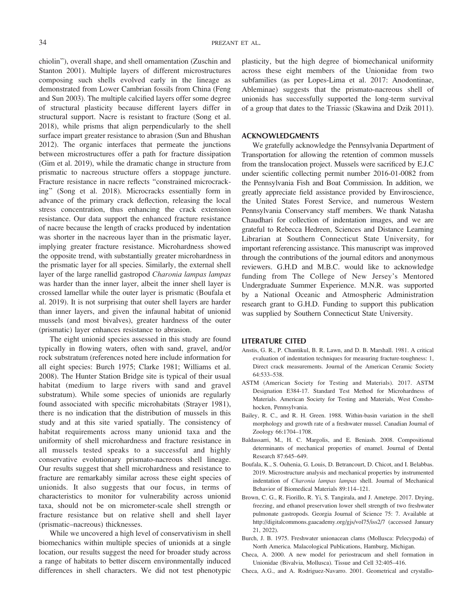chiolin''), overall shape, and shell ornamentation (Zuschin and Stanton 2001). Multiple layers of different microstructures composing such shells evolved early in the lineage as demonstrated from Lower Cambrian fossils from China (Feng and Sun 2003). The multiple calcified layers offer some degree of structural plasticity because different layers differ in structural support. Nacre is resistant to fracture (Song et al. 2018), while prisms that align perpendicularly to the shell surface impart greater resistance to abrasion (Sun and Bhushan 2012). The organic interfaces that permeate the junctions between microstructures offer a path for fracture dissipation (Gim et al. 2019), while the dramatic change in structure from prismatic to nacreous structure offers a stoppage juncture. Fracture resistance in nacre reflects ''constrained microcracking'' (Song et al. 2018). Microcracks essentially form in advance of the primary crack deflection, releasing the local stress concentration, thus enhancing the crack extension resistance. Our data support the enhanced fracture resistance of nacre because the length of cracks produced by indentation was shorter in the nacreous layer than in the prismatic layer, implying greater fracture resistance. Microhardness showed the opposite trend, with substantially greater microhardness in the prismatic layer for all species. Similarly, the external shell layer of the large ranellid gastropod Charonia lampas lampas was harder than the inner layer, albeit the inner shell layer is crossed lamellar while the outer layer is prismatic (Boufala et al. 2019). It is not surprising that outer shell layers are harder than inner layers, and given the infaunal habitat of unionid mussels (and most bivalves), greater hardness of the outer (prismatic) layer enhances resistance to abrasion.

The eight unionid species assessed in this study are found typically in flowing waters, often with sand, gravel, and/or rock substratum (references noted here include information for all eight species: Burch 1975; Clarke 1981; Williams et al. 2008). The Hunter Station Bridge site is typical of their usual habitat (medium to large rivers with sand and gravel substratum). While some species of unionids are regularly found associated with specific microhabitats (Strayer 1981), there is no indication that the distribution of mussels in this study and at this site varied spatially. The consistency of habitat requirements across many unionid taxa and the uniformity of shell microhardness and fracture resistance in all mussels tested speaks to a successful and highly conservative evolutionary prismato-nacreous shell lineage. Our results suggest that shell microhardness and resistance to fracture are remarkably similar across these eight species of unionids. It also suggests that our focus, in terms of characteristics to monitor for vulnerability across unionid taxa, should not be on micrometer-scale shell strength or fracture resistance but on relative shell and shell layer (prismatic–nacreous) thicknesses.

While we uncovered a high level of conservativism in shell biomechanics within multiple species of unionids at a single location, our results suggest the need for broader study across a range of habitats to better discern environmentally induced differences in shell characters. We did not test phenotypic plasticity, but the high degree of biomechanical uniformity across these eight members of the Unionidae from two subfamilies (as per Lopes-Lima et al. 2017: Anodontinae, Ableminae) suggests that the prismato-nacreous shell of unionids has successfully supported the long-term survival of a group that dates to the Triassic (Skawina and Dzik 2011).

## ACKNOWLEDGMENTS

We gratefully acknowledge the Pennsylvania Department of Transportation for allowing the retention of common mussels from the translocation project. Mussels were sacrificed by E.J.C under scientific collecting permit number 2016-01-0082 from the Pennsylvania Fish and Boat Commission. In addition, we greatly appreciate field assistance provided by Enviroscience, the United States Forest Service, and numerous Western Pennsylvania Conservancy staff members. We thank Natasha Chaudhari for collection of indentation images, and we are grateful to Rebecca Hedreen, Sciences and Distance Learning Librarian at Southern Connecticut State University, for important referencing assistance. This manuscript was improved through the contributions of the journal editors and anonymous reviewers. G.H.D and M.B.C. would like to acknowledge funding from The College of New Jersey's Mentored Undergraduate Summer Experience. M.N.R. was supported by a National Oceanic and Atmospheric Administration research grant to G.H.D. Funding to support this publication was supplied by Southern Connecticut State University.

#### LITERATURE CITED

- Anstis, G. R., P. Chantikul, B. R. Lawn, and D. B. Marshall. 1981. A critical evaluation of indentation techniques for measuring fracture-toughness: 1, Direct crack measurements. Journal of the American Ceramic Society 64:533–538.
- ASTM (American Society for Testing and Materials). 2017. ASTM Designation E384-17. Standard Test Method for Microhardness of Materials. American Society for Testing and Materials, West Conshohocken, Pennsylvania.
- Bailey, R. C., and R. H. Green. 1988. Within-basin variation in the shell morphology and growth rate of a freshwater mussel. Canadian Journal of Zoology 66:1704–1708.
- Baldassarri, M., H. C. Margolis, and E. Beniash. 2008. Compositional determinants of mechanical properties of enamel. Journal of Dental Research 87:645–649.
- Boufala, K., S. Ouhenia, G. Louis, D. Betrancourt, D. Chicot, and I. Belabbas. 2019. Microstructure analysis and mechanical properties by instrumented indentation of Charonia lampas lampas shell. Journal of Mechanical Behavior of Biomedical Materials 89:114–121.
- Brown, C. G., R. Fiorillo, R. Yi, S. Tangirala, and J. Ametepe. 2017. Drying, freezing, and ethanol preservation lower shell strength of two freshwater pulmonate gastropods. Georgia Journal of Science 75: 7. Available at http://digitalcommons.gaacademy.org/gjs/vol75/iss2/7 (accessed January 21, 2022).
- Burch, J. B. 1975. Freshwater unionacean clams (Mollusca: Pelecypoda) of North America. Malacological Publications, Hamburg, Michigan.
- Checa, A. 2000. A new model for periostracum and shell formation in Unionidae (Bivalvia, Mollusca). Tissue and Cell 32:405–416.
- Checa, A.G., and A. Rodriguez-Navarro. 2001. Geometrical and crystallo-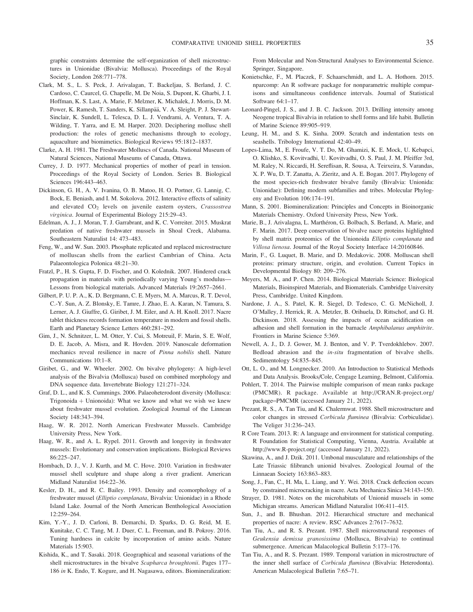graphic constraints determine the self-organization of shell microstructures in Unionidae (Bivalvia: Mollusca). Proceedings of the Royal Society, London 268:771–778.

- Clark, M. S., L. S. Peck, J. Arivalagan, T. Backeljau, S. Berland, J. C. Cardoso, C. Caurcel, G. Chapelle, M. De Noia, S. Dupont, K. Gharbi, J. I. Hoffman, K. S. Last, A. Marie, F. Melzner, K. Michalek, J. Morris, D. M. Power, K. Ramesh, T. Sanders, K. Sillanpää, V. A. Sleight, P. J. Stewart-Sinclair, K. Sundell, L. Telesca, D. L. J. Vendrami, A. Ventura, T. A. Wilding, T. Yarra, and E. M. Harper. 2020. Deciphering mollusc shell production: the roles of genetic mechanisms through to ecology, aquaculture and biomimetics. Biological Reviews 95:1812–1837.
- Clarke, A. H. 1981. The Freshwater Molluscs of Canada. National Museum of Natural Sciences, National Museums of Canada, Ottawa.
- Currey, J. D. 1977. Mechanical properties of mother of pearl in tension. Proceedings of the Royal Society of London. Series B. Biological Sciences 196:443–463.
- Dickinson, G. H., A. V. Ivanina, O. B. Matoo, H. O. Portner, G. Lannig, C. Bock, E. Beniash, and I. M. Sokolova. 2012. Interactive effects of salinity and elevated  $CO<sub>2</sub>$  levels on juvenile eastern oysters, Crassostrea virginica. Journal of Experimental Biology 215:29–43.
- Edelman, A. J., J. Moran, T. J. Garrabrant, and K. C. Vorreiter. 2015. Muskrat predation of native freshwater mussels in Shoal Creek, Alabama. Southeastern Naturalist 14: 473–483.
- Feng, W., and W. Sun. 2003. Phosphate replicated and replaced microstructure of molluscan shells from the earliest Cambrian of China. Acta Palaeontologica Polonica 48:21–30.
- Fratzl, P., H. S. Gupta, F. D. Fischer, and O. Kolednik. 2007. Hindered crack propagation in materials with periodically varying Young's modulus— Lessons from biological materials. Advanced Materials 19:2657–2661.
- Gilbert, P. U. P. A., K. D. Bergmann, C. E. Myers, M. A. Marcus, R. T. Devol, C.-Y. Sun, A. Z. Blonsky, E. Tamre, J. Zhao, E. A. Karan, N. Tamura, S. Lerner, A. J. Giuffre, G. Giribet, J. M. Eiler, and A. H. Knoll. 2017. Nacre tablet thickness records formation temperature in modern and fossil shells. Earth and Planetary Science Letters 460:281–292.
- Gim, J., N. Schnitzer, L. M. Otter, Y. Cui, S. Motreuil, F. Marin, S. E. Wolf, D. E. Jacob, A. Misra, and R. Hovden. 2019. Nanoscale deformation mechanics reveal resilience in nacre of Pinna nobilis shell. Nature Communications 10:1–8.
- Giribet, G., and W. Wheeler. 2002. On bivalve phylogeny: A high-level analysis of the Bivalvia (Mollusca) based on combined morphology and DNA sequence data. Invertebrate Biology 121:271–324.
- Graf, D. L., and K. S. Cummings. 2006. Palaeoheterodont diversity (Mollusca: Trigonoida  $+$  Unionoida): What we know and what we wish we knew about freshwater mussel evolution. Zoological Journal of the Linnean Society 148:343–394.
- Haag, W. R. 2012. North American Freshwater Mussels. Cambridge University Press, New York.
- Haag, W. R., and A. L. Rypel. 2011. Growth and longevity in freshwater mussels: Evolutionary and conservation implications. Biological Reviews 86:225–247.
- Hornbach, D. J., V. J. Kurth, and M. C. Hove. 2010. Variation in freshwater mussel shell sculpture and shape along a river gradient. American Midland Naturalist 164:22–36.
- Kesler, D. H., and R. C. Bailey. 1993. Density and ecomorphology of a freshwater mussel (Elliptio complanata, Bivalvia: Unionidae) in a Rhode Island Lake. Journal of the North American Benthological Association 12:259–264.
- Kim, Y.-Y., J. D. Carloni, B. Demarchi, D. Sparks, D. G. Reid, M. E. Kunitake, C. C. Tang, M. J. Duer, C. L. Freeman, and B. Pokroy. 2016. Tuning hardness in calcite by incorporation of amino acids. Nature Materials 15:903.
- Kishida, K., and T. Sasaki. 2018. Geographical and seasonal variations of the shell microstructures in the bivalve Scapharca broughtonii. Pages 177– 186 in K. Endo, T. Kogure, and H. Nagasawa, editors. Biomineralization:

From Molecular and Non-Structural Analyses to Environmental Science. Springer, Singapore.

- Konietschke, F., M. Placzek, F. Schaarschmidt, and L. A. Hothorn. 2015. nparcomp: An R software package for nonparametric multiple comparisons and simultaneous confidence intervals. Journal of Statistical Software 64:1–17.
- Leonard-Pingel, J. S., and J. B. C. Jackson. 2013. Drilling intensity among Neogene tropical Bivalvia in relation to shell forms and life habit. Bulletin of Marine Science 89:905–919.
- Leung, H. M., and S. K. Sinha. 2009. Scratch and indentation tests on seashells. Tribology International 42:40–49.
- Lopes-Lima, M., E. Froufe, V. T. Do, M. Ghamizi, K. E. Mock, U. Kebapci, O. Klishko, S. Kovitvadhi, U. Kovitvadhi, O. S. Paul, J. M. Pfeiffer 3rd, M. Raley, N. Riccardi, H. Sereflisan, R. Sousa, A. Teirxeira, S. Varandas, X. P. Wu, D. T. Zanatta, A. Zieritz, and A. E. Bogan. 2017. Phylogeny of the most species-rich freshwater bivalve family (Bivalvia: Unionida: Unionidae): Defining modern subfamilies and tribes. Molecular Phylogeny and Evolution 106:174–191.
- Mann, S. 2001. Biomineralization: Principles and Concepts in Bioinorganic Materials Chemistry. Oxford University Press, New York.
- Marie, B., J. Arivalagna, L. Marthéron, G. Bolbach, S. Berland, A. Marie, and F. Marin. 2017. Deep conservation of bivalve nacre proteins highlighted by shell matrix proteomics of the Unionoida Elliptio complanata and Villosa lienosa. Journal of the Royal Society Interface 14:20160846.
- Marin, F., G. Luquet, B. Marie, and D. Medakovic. 2008. Molluscan shell proteins: primary structure, origin, and evolution. Current Topics in Developmental Biology 80: 209–276.
- Meyers, M. A., and P. Chen. 2014. Biological Materials Science: Biological Materials, Bioinspired Materials, and Biomaterials. Cambridge University Press, Cambridge. United Kingdom.
- Nardone, J. A., S. Patel, K. R. Siegel, D. Tedesco, C. G. McNicholl, J. O'Malley, J. Herrick, R. A. Metzler, B. Orihuela, D. Rittschof, and G. H. Dickinson. 2018. Assessing the impacts of ocean acidification on adhesion and shell formation in the barnacle Amphibalanus amphitrite. Frontiers in Marine Science 5:369.
- Newell, A. J., D. J. Gower, M. J. Benton, and V. P. Tverdokhlebov. 2007. Bedload abrasion and the in-situ fragmentation of bivalve shells. Sedimentology 54:835–845.
- Ott, L. O., and M. Longnecker. 2010. An Introduction to Statistical Methods and Data Analysis. Brooks/Cole, Cengage Learning, Belmont, California.
- Pohlert, T. 2014. The Pairwise multiple comparison of mean ranks package (PMCMR). R package. Available at http://CRAN.R-project.org/ package=PMCMR (accessed January 21, 2022).
- Prezant, R. S., A. Tan Tiu, and K. Chalermwat. 1988. Shell microstructure and color changes in stressed Corbicula fluminea (Bivalvia: Corbiculidae). The Veliger 31:236–243.
- R Core Team. 2013. R: A language and environment for statistical computing. R Foundation for Statistical Computing, Vienna, Austria. Available at http://www.R-project.org/ (accessed January 21, 2022).
- Skawina, A., and J. Dzik. 2011. Umbonal musculature and relationships of the Late Triassic filibranch unionid bivalves. Zoological Journal of the Linnaean Society 163:863–883.
- Song, J., Fan, C., H. Ma, L. Liang, and Y. Wei. 2018. Crack deflection occurs by constrained microcracking in nacre. Acta Mechanica Sinica 34:143–150.
- Strayer, D. 1981. Notes on the microhabitats of Unionid mussels in some Michigan streams. American Midland Naturalist 106:411–415.
- Sun, J., and B. Bhushan. 2012. Hierarchical structure and mechanical properties of nacre: A review. RSC Advances 2:7617–7632.
- Tan Tiu, A., and R. S. Prezant. 1987. Shell microstructural responses of Geukensia demissa granosissima (Mollusca, Bivalvia) to continual submergence. American Malacological Bulletin 5:173–176.
- Tan Tiu, A., and R. S. Prezant. 1989. Temporal variation in microstructure of the inner shell surface of Corbicula fluminea (Bivalvia: Heterodonta). American Malacological Bulletin 7:65–71.